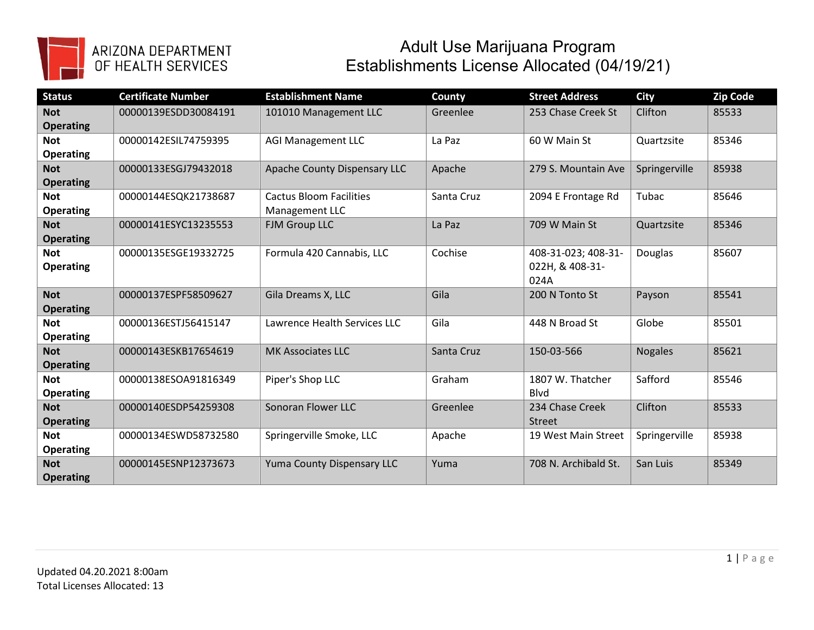

## ARIZONA DEPARTMENT<br>OF HEALTH SERVICES

## Adult Use Marijuana Program Establishments License Allocated (04/19/21)

| <b>Status</b>    | <b>Certificate Number</b> | <b>Establishment Name</b>      | County     | <b>Street Address</b> | <b>City</b>    | Zip Code |
|------------------|---------------------------|--------------------------------|------------|-----------------------|----------------|----------|
| <b>Not</b>       | 00000139ESDD30084191      | 101010 Management LLC          | Greenlee   | 253 Chase Creek St    | Clifton        | 85533    |
| <b>Operating</b> |                           |                                |            |                       |                |          |
| <b>Not</b>       | 00000142ESIL74759395      | <b>AGI Management LLC</b>      | La Paz     | 60 W Main St          | Quartzsite     | 85346    |
| <b>Operating</b> |                           |                                |            |                       |                |          |
| <b>Not</b>       | 00000133ESGJ79432018      | Apache County Dispensary LLC   | Apache     | 279 S. Mountain Ave   | Springerville  | 85938    |
| <b>Operating</b> |                           |                                |            |                       |                |          |
| <b>Not</b>       | 00000144ESQK21738687      | <b>Cactus Bloom Facilities</b> | Santa Cruz | 2094 E Frontage Rd    | Tubac          | 85646    |
| <b>Operating</b> |                           | Management LLC                 |            |                       |                |          |
| <b>Not</b>       | 00000141ESYC13235553      | FJM Group LLC                  | La Paz     | 709 W Main St         | Quartzsite     | 85346    |
| <b>Operating</b> |                           |                                |            |                       |                |          |
| <b>Not</b>       | 00000135ESGE19332725      | Formula 420 Cannabis, LLC      | Cochise    | 408-31-023; 408-31-   | Douglas        | 85607    |
| <b>Operating</b> |                           |                                |            | 022H, & 408-31-       |                |          |
|                  |                           |                                |            | 024A                  |                |          |
| <b>Not</b>       | 00000137ESPF58509627      | Gila Dreams X, LLC             | Gila       | 200 N Tonto St        | Payson         | 85541    |
| <b>Operating</b> |                           |                                |            |                       |                |          |
| <b>Not</b>       | 00000136ESTJ56415147      | Lawrence Health Services LLC   | Gila       | 448 N Broad St        | Globe          | 85501    |
| <b>Operating</b> |                           |                                |            |                       |                |          |
| <b>Not</b>       | 00000143ESKB17654619      | <b>MK Associates LLC</b>       | Santa Cruz | 150-03-566            | <b>Nogales</b> | 85621    |
| <b>Operating</b> |                           |                                |            |                       |                |          |
| <b>Not</b>       | 00000138ESOA91816349      | Piper's Shop LLC               | Graham     | 1807 W. Thatcher      | Safford        | 85546    |
| <b>Operating</b> |                           |                                |            | <b>B</b> lvd          |                |          |
| <b>Not</b>       | 00000140ESDP54259308      | Sonoran Flower LLC             | Greenlee   | 234 Chase Creek       | Clifton        | 85533    |
| <b>Operating</b> |                           |                                |            | <b>Street</b>         |                |          |
| <b>Not</b>       | 00000134ESWD58732580      | Springerville Smoke, LLC       | Apache     | 19 West Main Street   | Springerville  | 85938    |
| <b>Operating</b> |                           |                                |            |                       |                |          |
| <b>Not</b>       | 00000145ESNP12373673      | Yuma County Dispensary LLC     | Yuma       | 708 N. Archibald St.  | San Luis       | 85349    |
| <b>Operating</b> |                           |                                |            |                       |                |          |